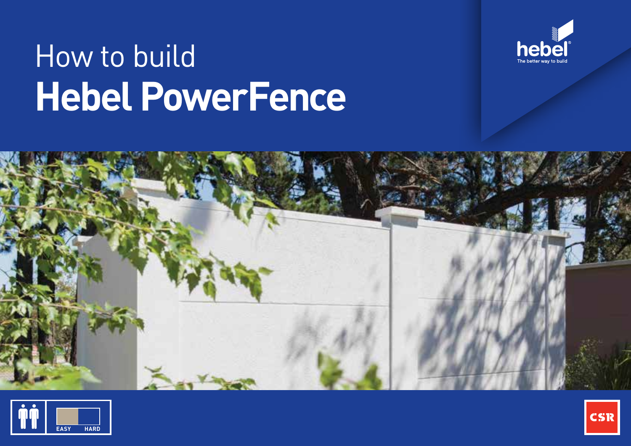

# How to build **Hebel PowerFence**





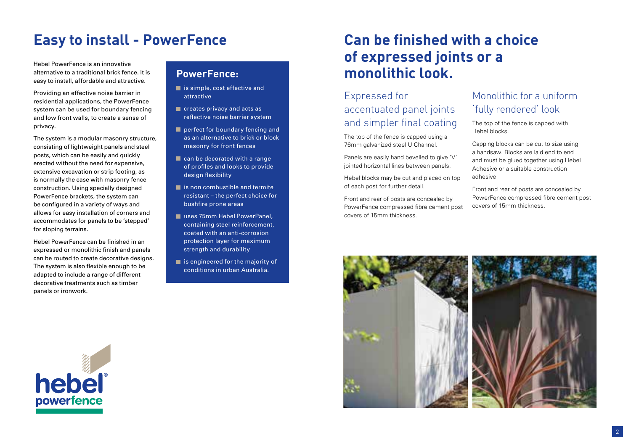# **Easy to install - PowerFence**

Hebel PowerFence is an innovative alternative to a traditional brick fence. It is easy to install, affordable and attractive.

Providing an effective noise barrier in residential applications, the PowerFence system can be used for boundary fencing and low front walls, to create a sense of privacy.

The system is a modular masonry structure, consisting of lightweight panels and steel posts, which can be easily and quickly erected without the need for expensive, extensive excavation or strip footing, as is normally the case with masonry fence construction. Using specially designed PowerFence brackets, the system can be configured in a variety of ways and allows for easy installation of corners and accommodates for panels to be 'stepped' for sloping terrains.

Hebel PowerFence can be finished in an expressed or monolithic finish and panels can be routed to create decorative designs. The system is also flexible enough to be adapted to include a range of different decorative treatments such as timber panels or ironwork.

### **PowerFence:**

- is simple, cost effective and attractive
- **C** creates privacy and acts as reflective noise barrier system
- perfect for boundary fencing and as an alternative to brick or block masonry for front fences
- can be decorated with a range of profiles and looks to provide design flexibility
- $\blacksquare$  is non combustible and termite resistant – the perfect choice for bushfire prone areas
- uses 75mm Hebel PowerPanel, containing steel reinforcement, coated with an anti-corrosion protection layer for maximum strength and durability
- $\blacksquare$  is engineered for the majority of conditions in urban Australia.

# **Can be finished with a choice of expressed joints or a monolithic look.**

## Expressed for accentuated panel joints and simpler final coating

The top of the fence is capped using a 76mm galvanized steel U Channel.

Panels are easily hand bevelled to give 'V' jointed horizontal lines between panels.

Hebel blocks may be cut and placed on top of each post for further detail.

Front and rear of posts are concealed by PowerFence compressed fibre cement post covers of 15mm thickness.

### Monolithic for a uniform 'fully rendered' look

The top of the fence is capped with Hebel blocks.

Capping blocks can be cut to size using a handsaw. Blocks are laid end to end and must be glued together using Hebel Adhesive or a suitable construction adhesive.

Front and rear of posts are concealed by PowerFence compressed fibre cement post covers of 15mm thickness.



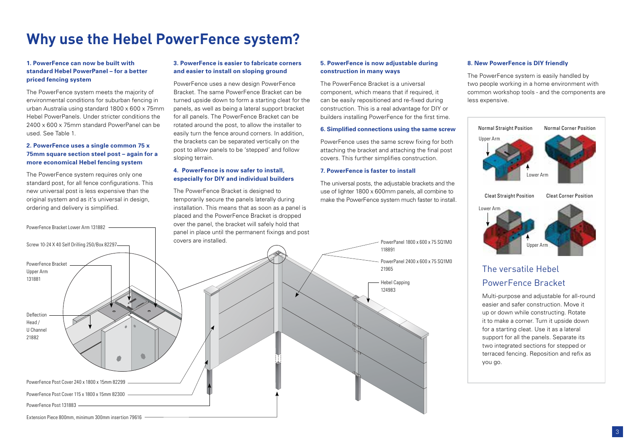# **Why use the Hebel PowerFence system?**

#### **1. PowerFence can now be built with standard Hebel PowerPanel – for a better priced fencing system**

The PowerFence system meets the majority of environmental conditions for suburban fencing in urban Australia using standard 1800 x 600 x 75mm Hebel PowerPanels. Under stricter conditions the 2400 x 600 x 75mm standard PowerPanel can be used. See Table 1.

#### **2. PowerFence uses a single common 75 x 75mm square section steel post – again for a more economical Hebel fencing system**

The PowerFence system requires only one standard post, for all fence configurations. This new universal post is less expensive than the original system and as it's universal in design, ordering and delivery is simplified.

over the panel, the bracket will safely hold that PowerFence Bracket Lower Arm 131882 panel in place until the permanent fixings and post covers are installed. Screw 10-24 X 40 Self Drilling 250/Box 82297 PowerFence Bracket Upper Arm 131881 Deflection Head / U Channel 21882 !!! PowerFence Post Cover 240 x 1800 x 15mm 82299 PowerFence Post Cover 115 x 1800 x 15mm 82300 PowerFence Post 131883

Extension Piece 800mm, minimum 300mm insertion 79616

#### **3. PowerFence is easier to fabricate corners and easier to install on sloping ground**

PowerFence uses a new design PowerFence Bracket. The same PowerFence Bracket can be turned upside down to form a starting cleat for the panels, as well as being a lateral support bracket for all panels. The PowerFence Bracket can be rotated around the post, to allow the installer to easily turn the fence around corners. In addition, the brackets can be separated vertically on the post to allow panels to be 'stepped' and follow sloping terrain.

#### **4. PowerFence is now safer to install, especially for DIY and individual builders**

The PowerFence Bracket is designed to temporarily secure the panels laterally during installation. This means that as soon as a panel is placed and the PowerFence Bracket is dropped

#### **5. PowerFence is now adjustable during construction in many ways**

The PowerFence Bracket is a universal component, which means that if required, it can be easily repositioned and re-fixed during construction. This is a real advantage for DIY or builders installing PowerFence for the first time.

#### **6. Simplified connections using the same screw**

PowerFence uses the same screw fixing for both attaching the bracket and attaching the final post covers. This further simplifies construction.

#### **7. PowerFence is faster to install**

The universal posts, the adjustable brackets and the use of lighter 1800 x 600mm panels, all combine to make the PowerFence system much faster to install.

118891

21965

Hebel Capping 124983

PowerPanel 1800 x 600 x 75 SQ1M0

PowerPanel 2400 x 600 x 75 SQ1M0

#### **8. New PowerFence is DIY friendly**

The PowerFence system is easily handled by two people working in a home environment with common workshop tools - and the components are less expensive.



### The versatile Hebel PowerFence Bracket

Multi-purpose and adjustable for all-round easier and safer construction. Move it up or down while constructing. Rotate it to make a corner. Turn it upside down for a starting cleat. Use it as a lateral support for all the panels. Separate its two integrated sections for stepped or terraced fencing. Reposition and refix as you go.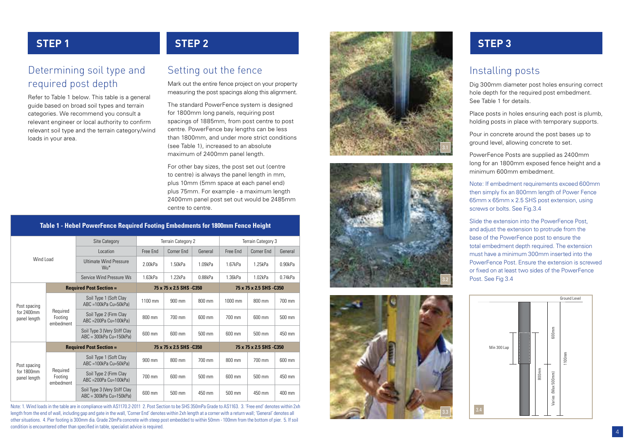### Determining soil type and required post depth

Refer to Table 1 below. This table is a general guide based on broad soil types and terrain categories. We recommend you consult a relevant engineer or local authority to confirm relevant soil type and the terrain category/wind loads in your area.

# Setting out the fence

Mark out the entire fence project on your property measuring the post spacings along this alignment.

The standard PowerFence system is designed for 1800mm long panels, requiring post spacings of 1885mm, from post centre to post centre. PowerFence bay lengths can be less than 1800mm, and under more strict conditions (see Table 1), increased to an absolute maximum of 2400mm panel length.

For other bay sizes, the post set out (centre to centre) is always the panel length in mm, plus 10mm (5mm space at each panel end) plus 75mm. For example - a maximum length 2400mm panel post set out would be 2485mm centre to centre.

### **Table 1 - Hebel PowerFence Required Footing Embedments for 1800mm Fence Height**

| Wind Load                                  |                                  | <b>Site Category</b>                                         | Terrain Category 2       |            |                          | Terrain Category 3       |                  |                  |
|--------------------------------------------|----------------------------------|--------------------------------------------------------------|--------------------------|------------|--------------------------|--------------------------|------------------|------------------|
|                                            |                                  | <b>Location</b>                                              | Free Fnd                 | Corner End | General                  | Free Fnd                 | Corner Fnd       | General          |
|                                            |                                  | <b>Ultimate Wind Pressure</b><br>Wu*                         | 2.00kPa                  | 1.50kPa    | 1.09kPa                  | 1.67kPa                  | 1.25kPa          | 0.90kPa          |
|                                            |                                  | Service Wind Pressure Ws                                     | 1.63kPa                  | 1.22kPa    | 0.88kPa                  | 1.36kPa                  | 1.02kPa          | 0.74kPa          |
|                                            | <b>Required Post Section =</b>   |                                                              | 75 x 75 x 2.5 SHS - C350 |            |                          | 75 x 75 x 2.5 SHS - C350 |                  |                  |
| Post spacing<br>for 2400mm<br>panel length | Required<br>Footing<br>embedment | Soil Type 1 (Soft Clay<br>ABC =100kPa Cu=50kPa)              | 1100 mm                  | 900 mm     | 800 mm                   | 1000 mm                  | 800 mm           | 700 mm           |
|                                            |                                  | Soil Type 2 (Firm Clay<br>ABC = 200Pa Cu=100kPa)             | 800 mm                   | 700 mm     | 600 mm                   | 700 mm                   | 600 mm           | 500 mm           |
|                                            |                                  | Soil Type 3 (Very Stiff Clay<br>ABC = 300kPa Cu=150kPa)      | 600 mm                   | 600 mm     | 500 mm                   | 600 mm                   | $500 \text{ mm}$ | 450 mm           |
|                                            | <b>Required Post Section =</b>   |                                                              | 75 x 75 x 2.5 SHS - C350 |            | 75 x 75 x 2.5 SHS - C350 |                          |                  |                  |
| Post spacing<br>for 1800mm<br>panel length | Required<br>Footing<br>embedment | Soil Type 1 (Soft Clay<br>ABC =100kPa Cu=50kPa)              | 900 mm                   | 800 mm     | 700 mm                   | 800 mm                   | 700 mm           | 600 mm           |
|                                            |                                  | Soil Type 2 (Firm Clay<br>ABC = 200Pa Cu=100kPa)             | 700 mm                   | 600 mm     | 500 mm                   | 600 mm                   | 500 mm           | 450 mm           |
|                                            |                                  | Soil Type 3 (Very Stiff Clay<br>$ABC = 300kPa$ $Cu=150kPa$ ) | 600 mm                   | 500 mm     | 450 mm                   | 500 mm                   | 450 mm           | $400 \text{ mm}$ |

Note: 1. Wind loads in the table are in compliance with AS1170.2-2011 2. Post Section to be SHS 350mPa Grade to AS1163. 3. 'Free end' denotes within 2xh length from the end of wall, including gap and gate in the wall, 'Corner End' denotes within 2xh length at a corner with a return wall; 'General' denotes all other situations. 4. Pier footing is 300mm dia. Grade 20mPa concrete with steep post embedded to within 50mm - 100mm from the bottom of pier. 5. If soil condition is encountered other than specified in table, specialist advice is required.







### Installing posts

Dig 300mm diameter post holes ensuring correct hole depth for the required post embedment. See Table 1 for details.

Place posts in holes ensuring each post is plumb, holding posts in place with temporary supports.

Pour in concrete around the post bases up to ground level, allowing concrete to set.

PowerFence Posts are supplied as 2400mm long for an 1800mm exposed fence height and a minimum 600mm embedment.

Note: If embedment requirements exceed 600mm then simply fix an 800mm length of Power Fence 65mm x 65mm x 2.5 SHS post extension, using screws or bolts. See Fig.3.4

Slide the extension into the PowerFence Post, and adjust the extension to protrude from the base of the PowerFence post to ensure the total embedment depth required. The extension must have a minimum 300mm inserted into the PowerFence Post. Ensure the extension is screwed or fixed on at least two sides of the PowerFence Post. See Fig 3.4

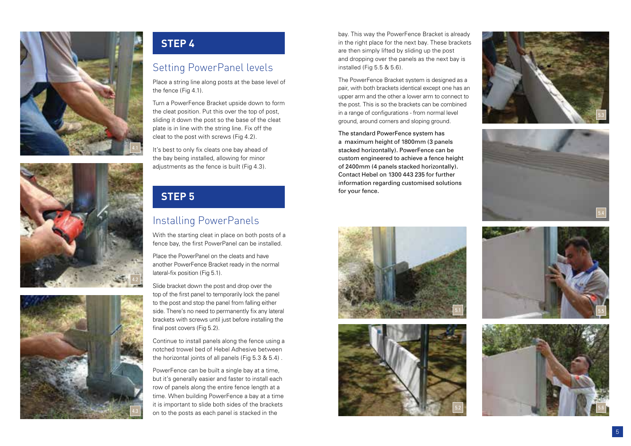





### **STEP 4**

### Setting PowerPanel levels

Place a string line along posts at the base level of the fence (Fig 4.1).

Turn a PowerFence Bracket upside down to form the cleat position. Put this over the top of post, sliding it down the post so the base of the cleat plate is in line with the string line. Fix off the cleat to the post with screws (Fig 4.2).

It's best to only fix cleats one bay ahead of the bay being installed, allowing for minor adjustments as the fence is built (Fig 4.3).

## **STEP 5**

### Installing PowerPanels

With the starting cleat in place on both posts of a fence bay, the first PowerPanel can be installed.

Place the PowerPanel on the cleats and have another PowerFence Bracket ready in the normal lateral-fix position (Fig 5.1).

Slide bracket down the post and drop over the top of the first panel to temporarily lock the panel to the post and stop the panel from falling either side. There's no need to permanently fix any lateral brackets with screws until just before installing the final post covers (Fig 5.2).

Continue to install panels along the fence using a notched trowel bed of Hebel Adhesive between the horizontal joints of all panels (Fig 5.3 & 5.4) .

PowerFence can be built a single bay at a time, but it's generally easier and faster to install each row of panels along the entire fence length at a time. When building PowerFence a bay at a time it is important to slide both sides of the brackets on to the posts as each panel is stacked in the two states of the brackets of the brackets of the brackets of the brackets of the brackets of the brackets of the bracket of the stacked in the stacked in the stacked in the

bay. This way the PowerFence Bracket is already in the right place for the next bay. These brackets are then simply lifted by sliding up the post and dropping over the panels as the next bay is installed (Fig 5.5 & 5.6).

The PowerFence Bracket system is designed as a pair, with both brackets identical except one has an upper arm and the other a lower arm to connect to the post. This is so the brackets can be combined in a range of configurations - from normal level ground, around corners and sloping ground.

The standard PowerFence system has a maximum height of 1800mm (3 panels stacked horizontally). PowerFence can be custom engineered to achieve a fence height of 2400mm (4 panels stacked horizontally). Contact Hebel on 1300 443 235 for further information regarding customised solutions for your fence.

5.1







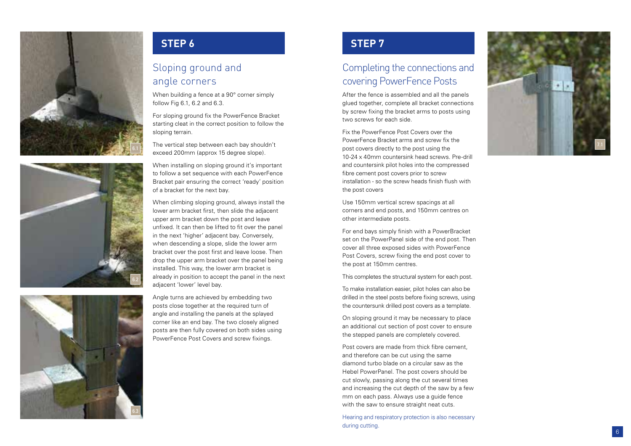





### **STEP 6 STEP 7**

### Sloping ground and angle corners

When building a fence at a 90° corner simply follow Fig 6.1, 6.2 and 6.3.

For sloping ground fix the PowerFence Bracket starting cleat in the correct position to follow the sloping terrain.

The vertical step between each bay shouldn't exceed 200mm (approx 15 degree slope).

When installing on sloping ground it's important to follow a set sequence with each PowerFence Bracket pair ensuring the correct 'ready' position of a bracket for the next bay.

When climbing sloping ground, always install the lower arm bracket first, then slide the adjacent upper arm bracket down the post and leave unfixed. It can then be lifted to fit over the panel in the next 'higher' adjacent bay. Conversely, when descending a slope, slide the lower arm bracket over the post first and leave loose. Then drop the upper arm bracket over the panel being installed. This way, the lower arm bracket is already in position to accept the panel in the next adjacent 'lower' level bay.

Angle turns are achieved by embedding two posts close together at the required turn of angle and installing the panels at the splayed corner like an end bay. The two closely aligned posts are then fully covered on both sides using PowerFence Post Covers and screw fixings.

## Completing the connections and covering PowerFence Posts

After the fence is assembled and all the panels glued together, complete all bracket connections by screw fixing the bracket arms to posts using two screws for each side.

Fix the PowerFence Post Covers over the PowerFence Bracket arms and screw fix the post covers directly to the post using the 10-24 x 40mm countersink head screws. Pre-drill and countersink pilot holes into the compressed fibre cement post covers prior to screw installation - so the screw heads finish flush with the post covers

Use 150mm vertical screw spacings at all corners and end posts, and 150mm centres on other intermediate posts.

For end bays simply finish with a PowerBracket set on the PowerPanel side of the end post. Then cover all three exposed sides with PowerFence Post Covers, screw fixing the end post cover to the post at 150mm centres.

This completes the structural system for each post.

To make installation easier, pilot holes can also be drilled in the steel posts before fixing screws, using the countersunk drilled post covers as a template.

On sloping ground it may be necessary to place an additional cut section of post cover to ensure the stepped panels are completely covered.

Post covers are made from thick fibre cement, and therefore can be cut using the same diamond turbo blade on a circular saw as the Hebel PowerPanel. The post covers should be cut slowly, passing along the cut several times and increasing the cut depth of the saw by a few mm on each pass. Always use a guide fence with the saw to ensure straight neat cuts.

Hearing and respiratory protection is also necessary during cutting.

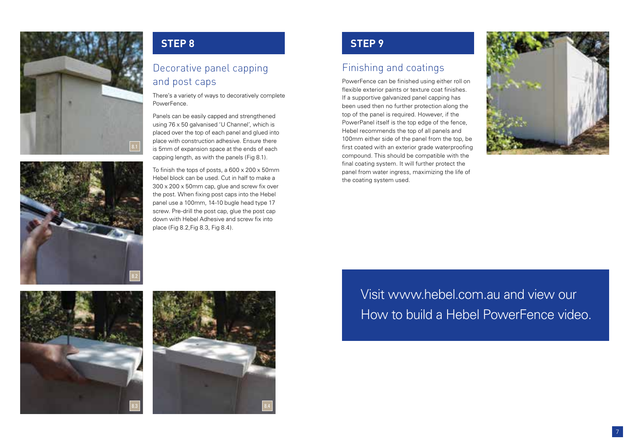



### Decorative panel capping and post caps

There's a variety of ways to decoratively complete **PowerFence** 

Panels can be easily capped and strengthened using 76 x 50 galvanised 'U Channel', which is placed over the top of each panel and glued into place with construction adhesive. Ensure there is 5mm of expansion space at the ends of each capping length, as with the panels (Fig 8.1).

To finish the tops of posts, a 600 x 200 x 50mm Hebel block can be used. Cut in half to make a 300 x 200 x 50mm cap, glue and screw fix over the post. When fixing post caps into the Hebel panel use a 100mm, 14-10 bugle head type 17 screw. Pre-drill the post cap, glue the post cap down with Hebel Adhesive and screw fix into place (Fig 8.2,Fig 8.3, Fig 8.4).

### **STEP 8 STEP 9**

### Finishing and coatings

PowerFence can be finished using either roll on flexible exterior paints or texture coat finishes. If a supportive galvanized panel capping has been used then no further protection along the top of the panel is required. However, if the PowerPanel itself is the top edge of the fence, Hebel recommends the top of all panels and 100mm either side of the panel from the top, be first coated with an exterior grade waterproofing compound. This should be compatible with the final coating system. It will further protect the panel from water ingress, maximizing the life of the coating system used.







Visit www.hebel.com.au and view our How to build a Hebel PowerFence video.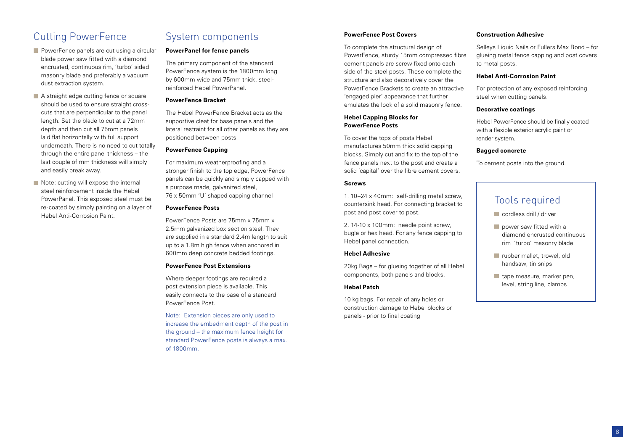### Cutting PowerFence

- **PowerFence panels are cut using a circular** blade power saw fitted with a diamond encrusted, continuous rim, 'turbo' sided masonry blade and preferably a vacuum dust extraction system.
- A straight edge cutting fence or square should be used to ensure straight crosscuts that are perpendicular to the panel length. Set the blade to cut at a 72mm depth and then cut all 75mm panels laid flat horizontally with full support underneath. There is no need to cut totally through the entire panel thickness – the last couple of mm thickness will simply and easily break away.
- Note: cutting will expose the internal steel reinforcement inside the Hebel PowerPanel. This exposed steel must be re-coated by simply painting on a layer of Hebel Anti-Corrosion Paint.

### System components

#### **PowerPanel for fence panels**

The primary component of the standard PowerFence system is the 1800mm long by 600mm wide and 75mm thick, steelreinforced Hebel PowerPanel.

#### **PowerFence Bracket**

The Hebel PowerFence Bracket acts as the supportive cleat for base panels and the lateral restraint for all other panels as they are positioned between posts.

#### **PowerFence Capping**

For maximum weatherproofing and a stronger finish to the top edge, PowerFence panels can be quickly and simply capped with a purpose made, galvanized steel, 76 x 50mm 'U' shaped capping channel

#### **PowerFence Posts**

PowerFence Posts are 75mm x 75mm x 2.5mm galvanized box section steel. They are supplied in a standard 2.4m length to suit up to a 1.8m high fence when anchored in 600mm deep concrete bedded footings.

#### **PowerFence Post Extensions**

Where deeper footings are required a post extension piece is available. This easily connects to the base of a standard PowerFence Post.

Note: Extension pieces are only used to increase the embedment depth of the post in the ground – the maximum fence height for standard PowerFence posts is always a max. of 1800mm.

#### **PowerFence Post Covers**

To complete the structural design of PowerFence, sturdy 15mm compressed fibre cement panels are screw fixed onto each side of the steel posts. These complete the structure and also decoratively cover the PowerFence Brackets to create an attractive 'engaged pier' appearance that further emulates the look of a solid masonry fence.

#### **Hebel Capping Blocks for PowerFence Posts**

To cover the tops of posts Hebel manufactures 50mm thick solid capping blocks. Simply cut and fix to the top of the fence panels next to the post and create a solid 'capital' over the fibre cement covers.

#### **Screws**

1. 10–24 x 40mm: self-drilling metal screw, countersink head. For connecting bracket to post and post cover to post.

2. 14-10 x 100mm: needle point screw, bugle or hex head. For any fence capping to Hebel panel connection.

#### **Hebel Adhesive**

20kg Bags – for glueing together of all Hebel components, both panels and blocks.

#### **Hebel Patch**

10 kg bags. For repair of any holes or construction damage to Hebel blocks or panels - prior to final coating

#### **Construction Adhesive**

Selleys Liquid Nails or Fullers Max Bond – for glueing metal fence capping and post covers to metal posts.

#### **Hebel Anti-Corrosion Paint**

For protection of any exposed reinforcing steel when cutting panels.

#### **Decorative coatings**

Hebel PowerFence should be finally coated with a flexible exterior acrylic paint or render system.

#### **Bagged concrete**

To cement posts into the ground.

### Tools required

- cordless drill / driver
- power saw fitted with a diamond encrusted continuous rim 'turbo' masonry blade
- **T** rubber mallet, trowel, old handsaw, tin snips
- tape measure, marker pen, level, string line, clamps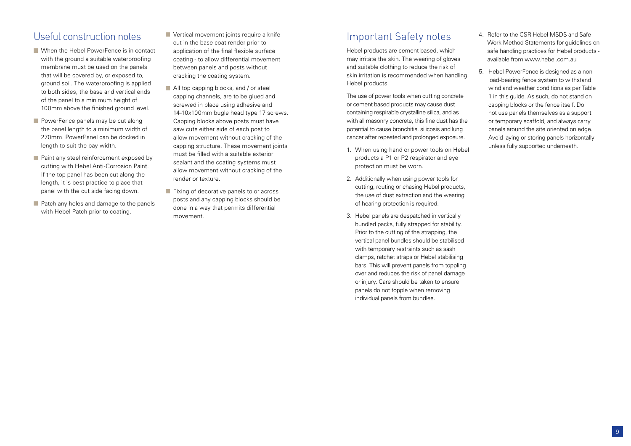### Useful construction notes

- When the Hebel PowerFence is in contact with the ground a suitable waterproofing membrane must be used on the panels that will be covered by, or exposed to, ground soil. The waterproofing is applied to both sides, the base and vertical ends of the panel to a minimum height of 100mm above the finished ground level.
- $\blacksquare$  PowerFence panels may be cut along the panel length to a minimum width of 270mm. PowerPanel can be docked in length to suit the bay width.
- **Paint any steel reinforcement exposed by** cutting with Hebel Anti-Corrosion Paint. If the top panel has been cut along the length, it is best practice to place that panel with the cut side facing down.
- **Patch any holes and damage to the panels** with Hebel Patch prior to coating.

**Vertical movement joints require a knife** cut in the base coat render prior to application of the final flexible surface coating - to allow differential movement between panels and posts without cracking the coating system.

- All top capping blocks, and / or steel capping channels, are to be glued and screwed in place using adhesive and 14-10x100mm bugle head type 17 screws. Capping blocks above posts must have saw cuts either side of each post to allow movement without cracking of the capping structure. These movement joints must be filled with a suitable exterior sealant and the coating systems must allow movement without cracking of the render or texture.
- **Fixing of decorative panels to or across** posts and any capping blocks should be done in a way that permits differential movement.

### Important Safety notes

Hebel products are cement based, which may irritate the skin. The wearing of gloves and suitable clothing to reduce the risk of skin irritation is recommended when handling Hebel products.

The use of power tools when cutting concrete or cement based products may cause dust containing respirable crystalline silica, and as with all masonry concrete, this fine dust has the potential to cause bronchitis, silicosis and lung cancer after repeated and prolonged exposure.

- 1. When using hand or power tools on Hebel products a P1 or P2 respirator and eye protection must be worn.
- 2. Additionally when using power tools for cutting, routing or chasing Hebel products, the use of dust extraction and the wearing of hearing protection is required.
- 3. Hebel panels are despatched in vertically bundled packs, fully strapped for stability. Prior to the cutting of the strapping, the vertical panel bundles should be stabilised with temporary restraints such as sash clamps, ratchet straps or Hebel stabilising bars. This will prevent panels from toppling over and reduces the risk of panel damage or injury. Care should be taken to ensure panels do not topple when removing individual panels from bundles.
- 4. Refer to the CSR Hebel MSDS and Safe Work Method Statements for guidelines on safe handling practices for Hebel products available from www.hebel.com.au
- 5. Hebel PowerFence is designed as a non load-bearing fence system to withstand wind and weather conditions as per Table 1 in this guide. As such, do not stand on capping blocks or the fence itself. Do not use panels themselves as a support or temporary scaffold, and always carry panels around the site oriented on edge. Avoid laying or storing panels horizontally unless fully supported underneath.